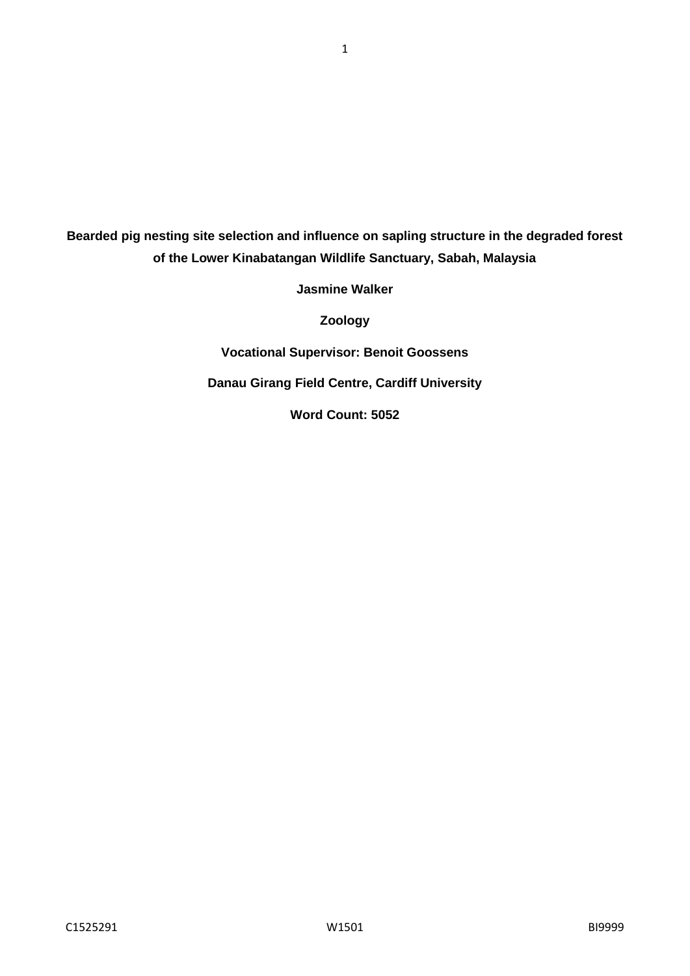**Bearded pig nesting site selection and influence on sapling structure in the degraded forest of the Lower Kinabatangan Wildlife Sanctuary, Sabah, Malaysia**

1

**Jasmine Walker**

**Zoology**

**Vocational Supervisor: Benoit Goossens**

**Danau Girang Field Centre, Cardiff University**

**Word Count: 5052**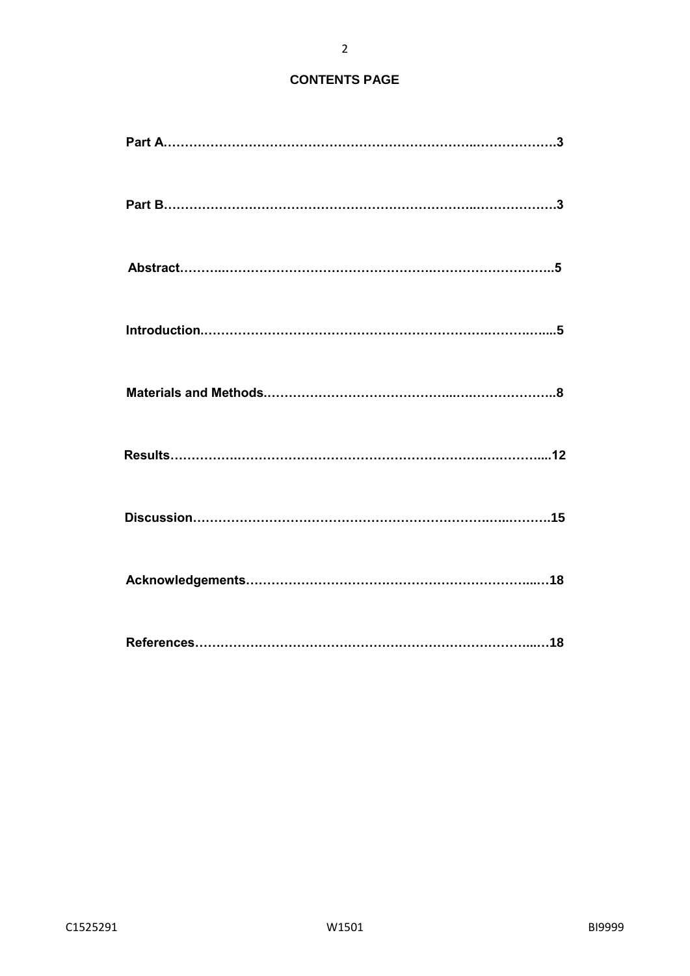## **CONTENTS PAGE**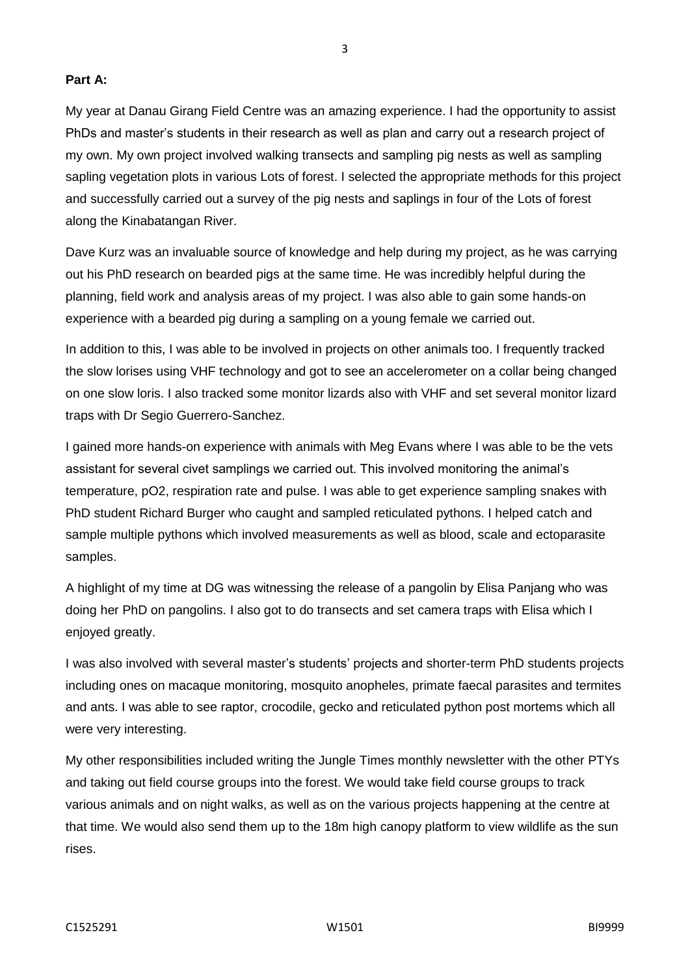**Part A:**

My year at Danau Girang Field Centre was an amazing experience. I had the opportunity to assist PhDs and master's students in their research as well as plan and carry out a research project of my own. My own project involved walking transects and sampling pig nests as well as sampling sapling vegetation plots in various Lots of forest. I selected the appropriate methods for this project and successfully carried out a survey of the pig nests and saplings in four of the Lots of forest along the Kinabatangan River.

Dave Kurz was an invaluable source of knowledge and help during my project, as he was carrying out his PhD research on bearded pigs at the same time. He was incredibly helpful during the planning, field work and analysis areas of my project. I was also able to gain some hands-on experience with a bearded pig during a sampling on a young female we carried out.

In addition to this, I was able to be involved in projects on other animals too. I frequently tracked the slow lorises using VHF technology and got to see an accelerometer on a collar being changed on one slow loris. I also tracked some monitor lizards also with VHF and set several monitor lizard traps with Dr Segio Guerrero-Sanchez.

I gained more hands-on experience with animals with Meg Evans where I was able to be the vets assistant for several civet samplings we carried out. This involved monitoring the animal's temperature, pO2, respiration rate and pulse. I was able to get experience sampling snakes with PhD student Richard Burger who caught and sampled reticulated pythons. I helped catch and sample multiple pythons which involved measurements as well as blood, scale and ectoparasite samples.

A highlight of my time at DG was witnessing the release of a pangolin by Elisa Panjang who was doing her PhD on pangolins. I also got to do transects and set camera traps with Elisa which I enjoyed greatly.

I was also involved with several master's students' projects and shorter-term PhD students projects including ones on macaque monitoring, mosquito anopheles, primate faecal parasites and termites and ants. I was able to see raptor, crocodile, gecko and reticulated python post mortems which all were very interesting.

My other responsibilities included writing the Jungle Times monthly newsletter with the other PTYs and taking out field course groups into the forest. We would take field course groups to track various animals and on night walks, as well as on the various projects happening at the centre at that time. We would also send them up to the 18m high canopy platform to view wildlife as the sun rises.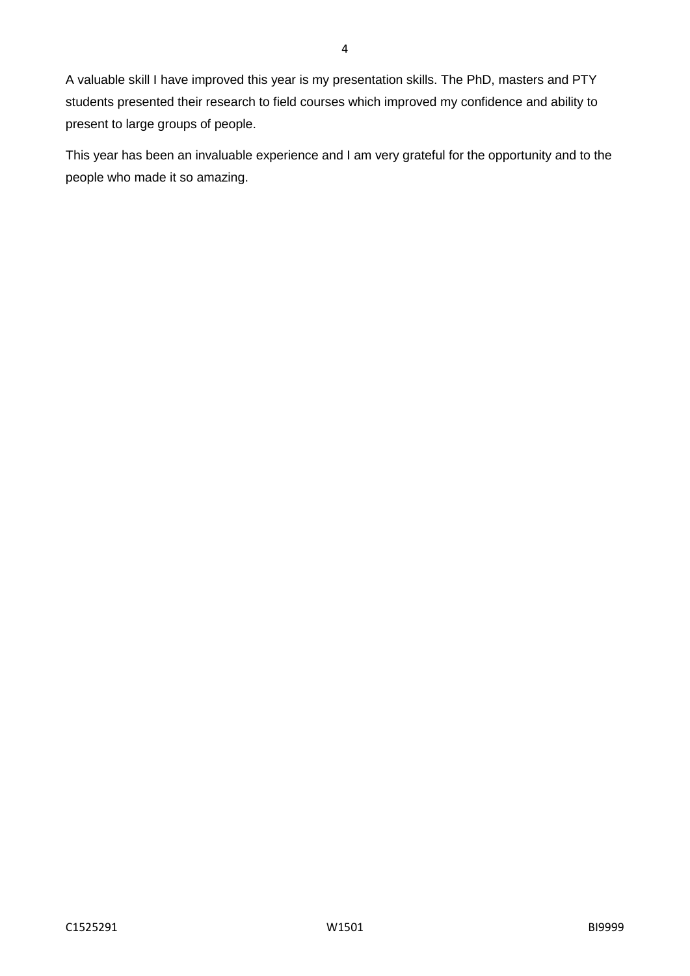A valuable skill I have improved this year is my presentation skills. The PhD, masters and PTY students presented their research to field courses which improved my confidence and ability to present to large groups of people.

This year has been an invaluable experience and I am very grateful for the opportunity and to the people who made it so amazing.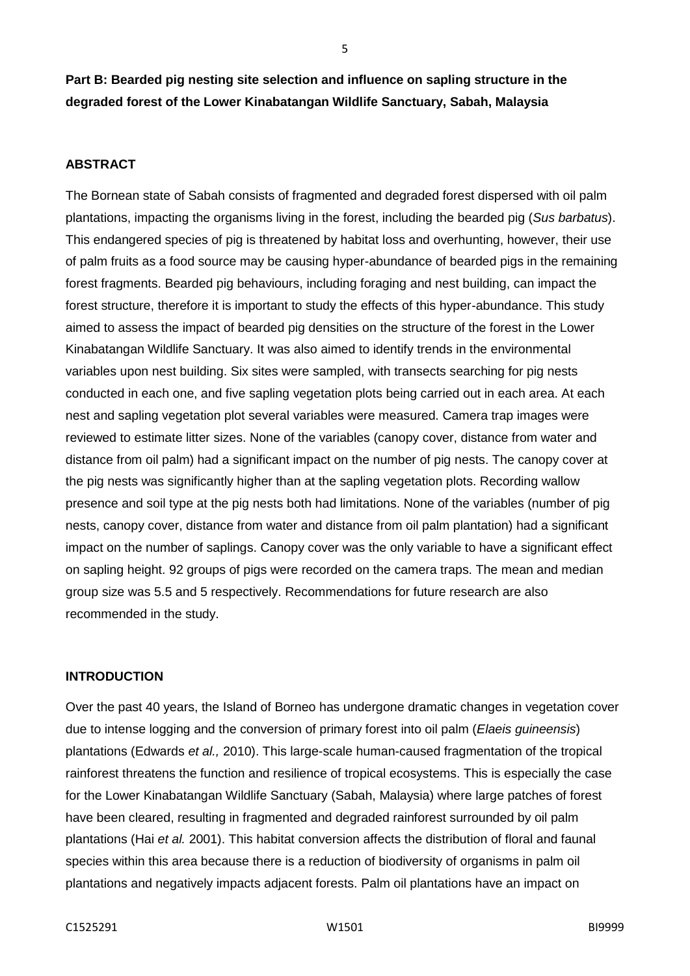**Part B: Bearded pig nesting site selection and influence on sapling structure in the degraded forest of the Lower Kinabatangan Wildlife Sanctuary, Sabah, Malaysia**

### **ABSTRACT**

The Bornean state of Sabah consists of fragmented and degraded forest dispersed with oil palm plantations, impacting the organisms living in the forest, including the bearded pig (*Sus barbatus*). This endangered species of pig is threatened by habitat loss and overhunting, however, their use of palm fruits as a food source may be causing hyper-abundance of bearded pigs in the remaining forest fragments. Bearded pig behaviours, including foraging and nest building, can impact the forest structure, therefore it is important to study the effects of this hyper-abundance. This study aimed to assess the impact of bearded pig densities on the structure of the forest in the Lower Kinabatangan Wildlife Sanctuary. It was also aimed to identify trends in the environmental variables upon nest building. Six sites were sampled, with transects searching for pig nests conducted in each one, and five sapling vegetation plots being carried out in each area. At each nest and sapling vegetation plot several variables were measured. Camera trap images were reviewed to estimate litter sizes. None of the variables (canopy cover, distance from water and distance from oil palm) had a significant impact on the number of pig nests. The canopy cover at the pig nests was significantly higher than at the sapling vegetation plots. Recording wallow presence and soil type at the pig nests both had limitations. None of the variables (number of pig nests, canopy cover, distance from water and distance from oil palm plantation) had a significant impact on the number of saplings. Canopy cover was the only variable to have a significant effect on sapling height. 92 groups of pigs were recorded on the camera traps. The mean and median group size was 5.5 and 5 respectively. Recommendations for future research are also recommended in the study.

#### **INTRODUCTION**

Over the past 40 years, the Island of Borneo has undergone dramatic changes in vegetation cover due to intense logging and the conversion of primary forest into oil palm (*Elaeis guineensis*) plantations (Edwards *et al.,* 2010). This large-scale human-caused fragmentation of the tropical rainforest threatens the function and resilience of tropical ecosystems. This is especially the case for the Lower Kinabatangan Wildlife Sanctuary (Sabah, Malaysia) where large patches of forest have been cleared, resulting in fragmented and degraded rainforest surrounded by oil palm plantations (Hai *et al.* 2001). This habitat conversion affects the distribution of floral and faunal species within this area because there is a reduction of biodiversity of organisms in palm oil plantations and negatively impacts adjacent forests. Palm oil plantations have an impact on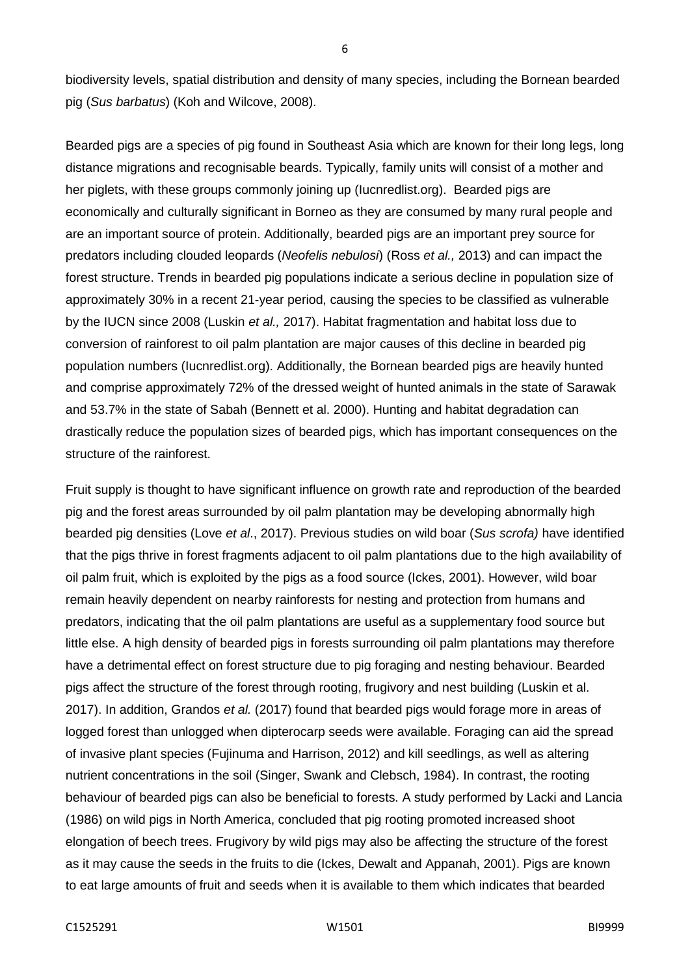biodiversity levels, spatial distribution and density of many species, including the Bornean bearded pig (*Sus barbatus*) (Koh and Wilcove, 2008).

Bearded pigs are a species of pig found in Southeast Asia which are known for their long legs, long distance migrations and recognisable beards. Typically, family units will consist of a mother and her piglets, with these groups commonly joining up (Iucnredlist.org). Bearded pigs are economically and culturally significant in Borneo as they are consumed by many rural people and are an important source of protein. Additionally, bearded pigs are an important prey source for predators including clouded leopards (*Neofelis nebulosi*) (Ross *et al.,* 2013) and can impact the forest structure. Trends in bearded pig populations indicate a serious decline in population size of approximately 30% in a recent 21-year period, causing the species to be classified as vulnerable by the IUCN since 2008 (Luskin *et al.,* 2017). Habitat fragmentation and habitat loss due to conversion of rainforest to oil palm plantation are major causes of this decline in bearded pig population numbers (Iucnredlist.org). Additionally, the Bornean bearded pigs are heavily hunted and comprise approximately 72% of the dressed weight of hunted animals in the state of Sarawak and 53.7% in the state of Sabah (Bennett et al. 2000). Hunting and habitat degradation can drastically reduce the population sizes of bearded pigs, which has important consequences on the structure of the rainforest.

Fruit supply is thought to have significant influence on growth rate and reproduction of the bearded pig and the forest areas surrounded by oil palm plantation may be developing abnormally high bearded pig densities (Love *et al*., 2017). Previous studies on wild boar (*Sus scrofa)* have identified that the pigs thrive in forest fragments adjacent to oil palm plantations due to the high availability of oil palm fruit, which is exploited by the pigs as a food source (Ickes, 2001). However, wild boar remain heavily dependent on nearby rainforests for nesting and protection from humans and predators, indicating that the oil palm plantations are useful as a supplementary food source but little else. A high density of bearded pigs in forests surrounding oil palm plantations may therefore have a detrimental effect on forest structure due to pig foraging and nesting behaviour. Bearded pigs affect the structure of the forest through rooting, frugivory and nest building (Luskin et al. 2017). In addition, Grandos *et al.* (2017) found that bearded pigs would forage more in areas of logged forest than unlogged when dipterocarp seeds were available. Foraging can aid the spread of invasive plant species (Fujinuma and Harrison, 2012) and kill seedlings, as well as altering nutrient concentrations in the soil (Singer, Swank and Clebsch, 1984). In contrast, the rooting behaviour of bearded pigs can also be beneficial to forests. A study performed by Lacki and Lancia (1986) on wild pigs in North America, concluded that pig rooting promoted increased shoot elongation of beech trees. Frugivory by wild pigs may also be affecting the structure of the forest as it may cause the seeds in the fruits to die (Ickes, Dewalt and Appanah, 2001). Pigs are known to eat large amounts of fruit and seeds when it is available to them which indicates that bearded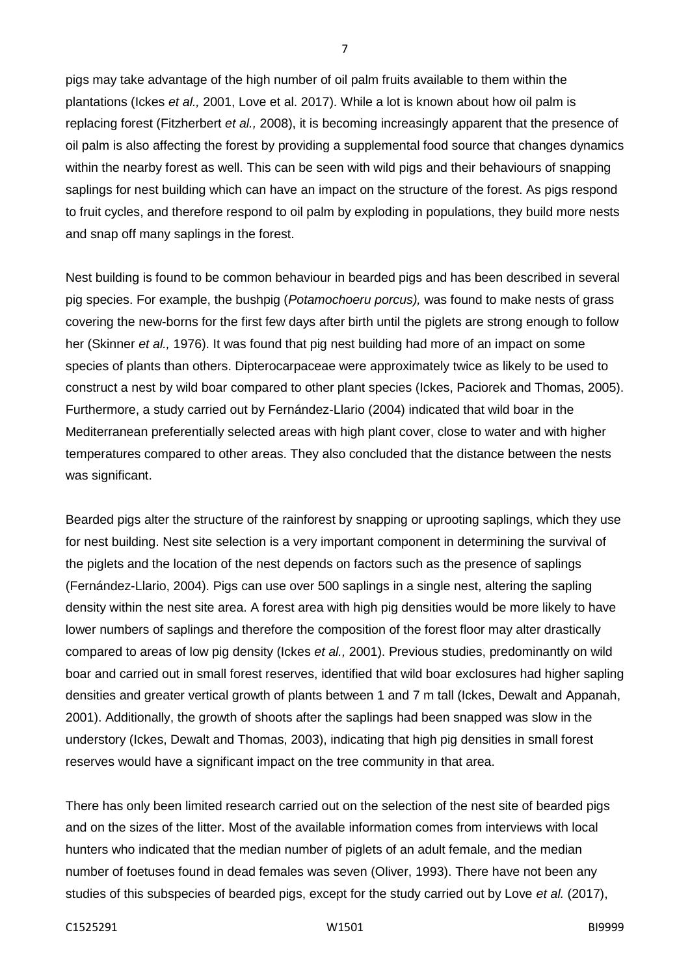pigs may take advantage of the high number of oil palm fruits available to them within the plantations (Ickes *et al.,* 2001, Love et al. 2017). While a lot is known about how oil palm is replacing forest (Fitzherbert *et al.,* 2008), it is becoming increasingly apparent that the presence of oil palm is also affecting the forest by providing a supplemental food source that changes dynamics within the nearby forest as well. This can be seen with wild pigs and their behaviours of snapping saplings for nest building which can have an impact on the structure of the forest. As pigs respond to fruit cycles, and therefore respond to oil palm by exploding in populations, they build more nests and snap off many saplings in the forest.

Nest building is found to be common behaviour in bearded pigs and has been described in several pig species. For example, the bushpig (*Potamochoeru porcus),* was found to make nests of grass covering the new-borns for the first few days after birth until the piglets are strong enough to follow her (Skinner *et al.,* 1976). It was found that pig nest building had more of an impact on some species of plants than others. Dipterocarpaceae were approximately twice as likely to be used to construct a nest by wild boar compared to other plant species (Ickes, Paciorek and Thomas, 2005). Furthermore, a study carried out by Fernández-Llario (2004) indicated that wild boar in the Mediterranean preferentially selected areas with high plant cover, close to water and with higher temperatures compared to other areas. They also concluded that the distance between the nests was significant.

Bearded pigs alter the structure of the rainforest by snapping or uprooting saplings, which they use for nest building. Nest site selection is a very important component in determining the survival of the piglets and the location of the nest depends on factors such as the presence of saplings (Fernández-Llario, 2004). Pigs can use over 500 saplings in a single nest, altering the sapling density within the nest site area. A forest area with high pig densities would be more likely to have lower numbers of saplings and therefore the composition of the forest floor may alter drastically compared to areas of low pig density (Ickes *et al.,* 2001). Previous studies, predominantly on wild boar and carried out in small forest reserves, identified that wild boar exclosures had higher sapling densities and greater vertical growth of plants between 1 and 7 m tall (Ickes, Dewalt and Appanah, 2001). Additionally, the growth of shoots after the saplings had been snapped was slow in the understory (Ickes, Dewalt and Thomas, 2003), indicating that high pig densities in small forest reserves would have a significant impact on the tree community in that area.

There has only been limited research carried out on the selection of the nest site of bearded pigs and on the sizes of the litter. Most of the available information comes from interviews with local hunters who indicated that the median number of piglets of an adult female, and the median number of foetuses found in dead females was seven (Oliver, 1993). There have not been any studies of this subspecies of bearded pigs, except for the study carried out by Love *et al.* (2017),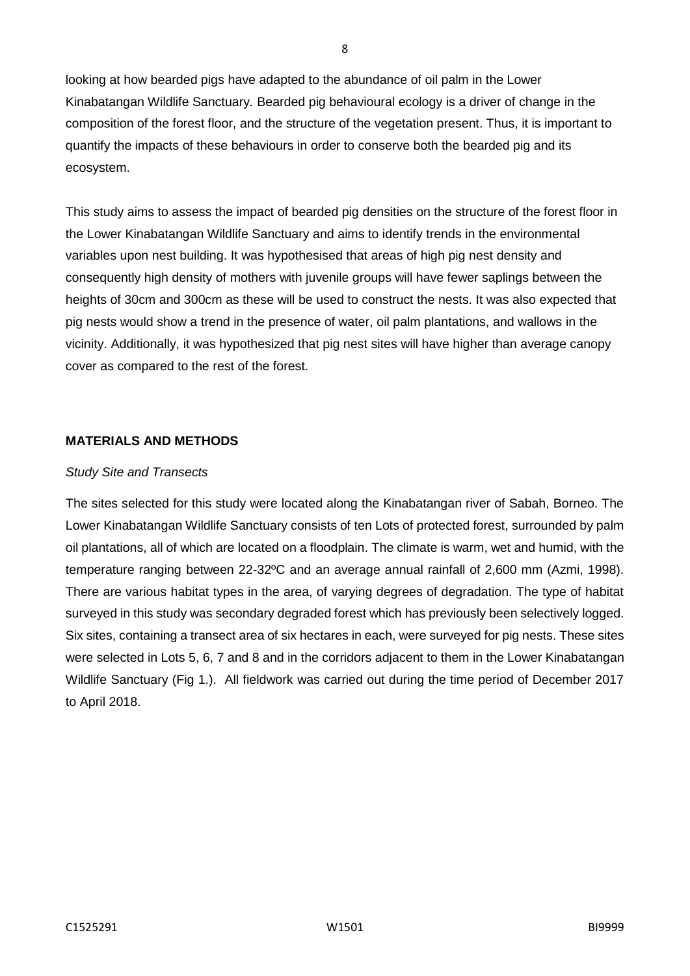looking at how bearded pigs have adapted to the abundance of oil palm in the Lower Kinabatangan Wildlife Sanctuary*.* Bearded pig behavioural ecology is a driver of change in the composition of the forest floor, and the structure of the vegetation present. Thus, it is important to quantify the impacts of these behaviours in order to conserve both the bearded pig and its ecosystem.

This study aims to assess the impact of bearded pig densities on the structure of the forest floor in the Lower Kinabatangan Wildlife Sanctuary and aims to identify trends in the environmental variables upon nest building. It was hypothesised that areas of high pig nest density and consequently high density of mothers with juvenile groups will have fewer saplings between the heights of 30cm and 300cm as these will be used to construct the nests. It was also expected that pig nests would show a trend in the presence of water, oil palm plantations, and wallows in the vicinity. Additionally, it was hypothesized that pig nest sites will have higher than average canopy cover as compared to the rest of the forest.

#### **MATERIALS AND METHODS**

#### *Study Site and Transects*

The sites selected for this study were located along the Kinabatangan river of Sabah, Borneo. The Lower Kinabatangan Wildlife Sanctuary consists of ten Lots of protected forest, surrounded by palm oil plantations, all of which are located on a floodplain. The climate is warm, wet and humid, with the temperature ranging between 22-32ºC and an average annual rainfall of 2,600 mm (Azmi, 1998). There are various habitat types in the area, of varying degrees of degradation. The type of habitat surveyed in this study was secondary degraded forest which has previously been selectively logged. Six sites, containing a transect area of six hectares in each, were surveyed for pig nests. These sites were selected in Lots 5, 6, 7 and 8 and in the corridors adjacent to them in the Lower Kinabatangan Wildlife Sanctuary (Fig 1.). All fieldwork was carried out during the time period of December 2017 to April 2018.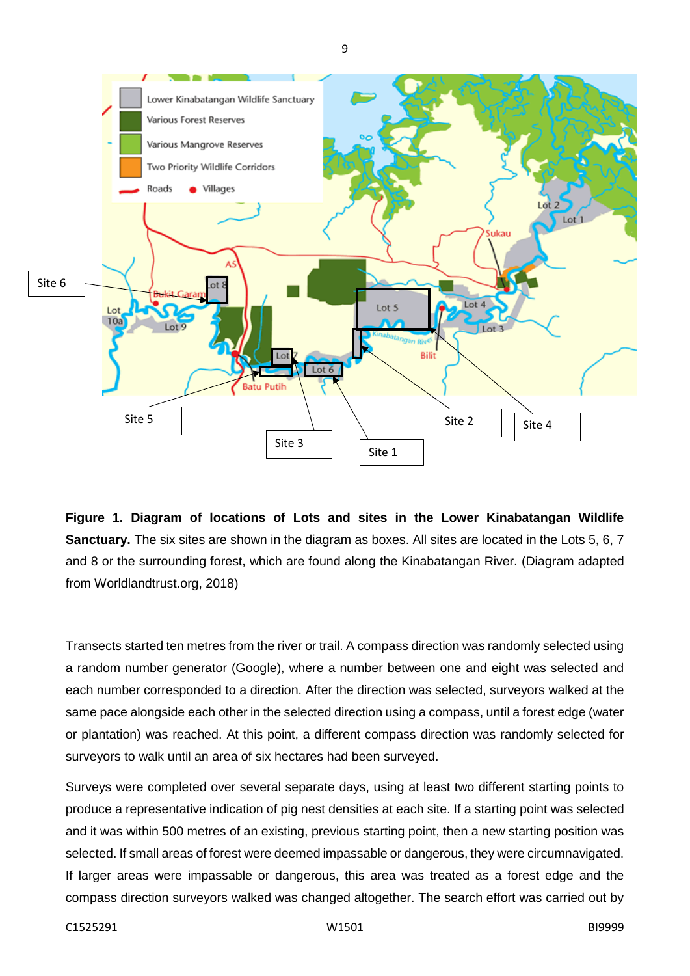



Transects started ten metres from the river or trail. A compass direction was randomly selected using a random number generator (Google), where a number between one and eight was selected and each number corresponded to a direction. After the direction was selected, surveyors walked at the same pace alongside each other in the selected direction using a compass, until a forest edge (water or plantation) was reached. At this point, a different compass direction was randomly selected for surveyors to walk until an area of six hectares had been surveyed.

Surveys were completed over several separate days, using at least two different starting points to produce a representative indication of pig nest densities at each site. If a starting point was selected and it was within 500 metres of an existing, previous starting point, then a new starting position was selected. If small areas of forest were deemed impassable or dangerous, they were circumnavigated. If larger areas were impassable or dangerous, this area was treated as a forest edge and the compass direction surveyors walked was changed altogether. The search effort was carried out by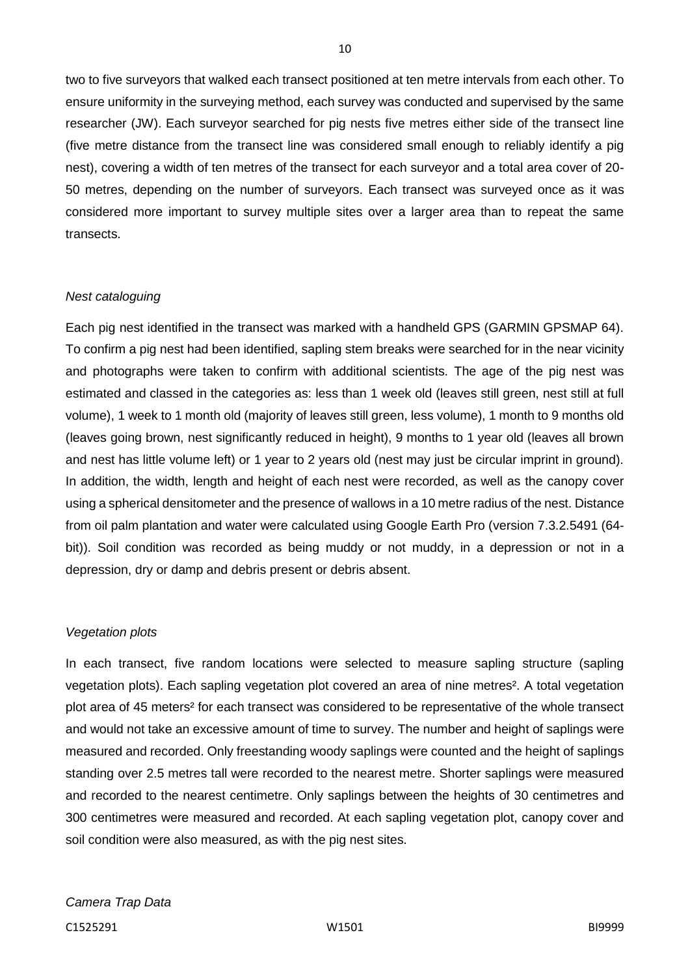two to five surveyors that walked each transect positioned at ten metre intervals from each other. To ensure uniformity in the surveying method, each survey was conducted and supervised by the same researcher (JW). Each surveyor searched for pig nests five metres either side of the transect line (five metre distance from the transect line was considered small enough to reliably identify a pig nest), covering a width of ten metres of the transect for each surveyor and a total area cover of 20- 50 metres, depending on the number of surveyors. Each transect was surveyed once as it was considered more important to survey multiple sites over a larger area than to repeat the same transects.

10

#### *Nest cataloguing*

Each pig nest identified in the transect was marked with a handheld GPS (GARMIN GPSMAP 64). To confirm a pig nest had been identified, sapling stem breaks were searched for in the near vicinity and photographs were taken to confirm with additional scientists. The age of the pig nest was estimated and classed in the categories as: less than 1 week old (leaves still green, nest still at full volume), 1 week to 1 month old (majority of leaves still green, less volume), 1 month to 9 months old (leaves going brown, nest significantly reduced in height), 9 months to 1 year old (leaves all brown and nest has little volume left) or 1 year to 2 years old (nest may just be circular imprint in ground). In addition, the width, length and height of each nest were recorded, as well as the canopy cover using a spherical densitometer and the presence of wallows in a 10 metre radius of the nest. Distance from oil palm plantation and water were calculated using Google Earth Pro (version 7.3.2.5491 (64 bit)). Soil condition was recorded as being muddy or not muddy, in a depression or not in a depression, dry or damp and debris present or debris absent.

#### *Vegetation plots*

In each transect, five random locations were selected to measure sapling structure (sapling vegetation plots). Each sapling vegetation plot covered an area of nine metres². A total vegetation plot area of 45 meters² for each transect was considered to be representative of the whole transect and would not take an excessive amount of time to survey. The number and height of saplings were measured and recorded. Only freestanding woody saplings were counted and the height of saplings standing over 2.5 metres tall were recorded to the nearest metre. Shorter saplings were measured and recorded to the nearest centimetre. Only saplings between the heights of 30 centimetres and 300 centimetres were measured and recorded. At each sapling vegetation plot, canopy cover and soil condition were also measured, as with the pig nest sites.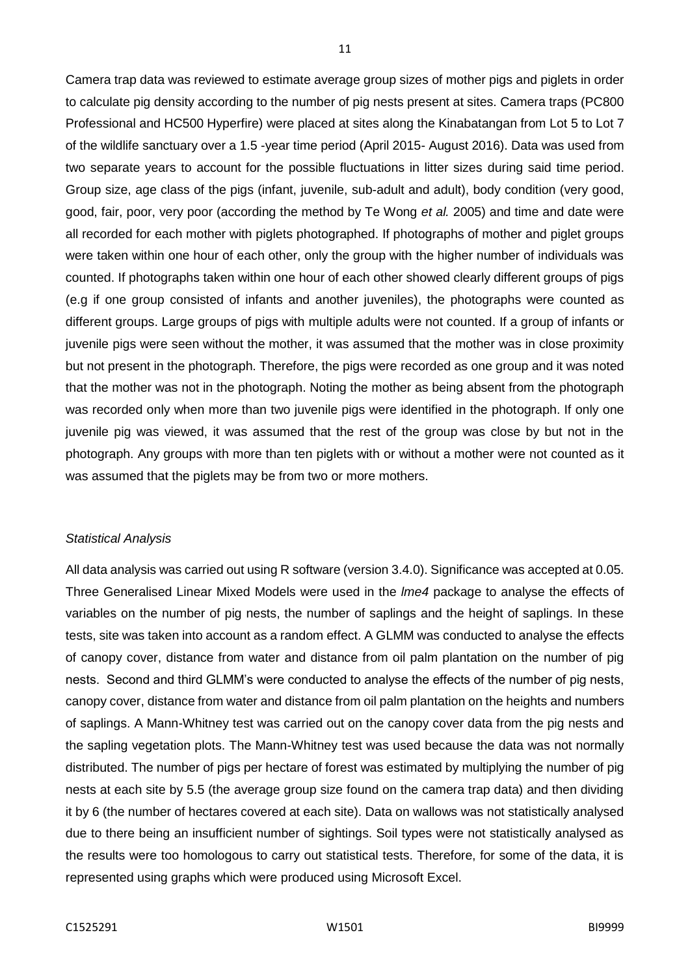Camera trap data was reviewed to estimate average group sizes of mother pigs and piglets in order to calculate pig density according to the number of pig nests present at sites. Camera traps (PC800 Professional and HC500 Hyperfire) were placed at sites along the Kinabatangan from Lot 5 to Lot 7 of the wildlife sanctuary over a 1.5 -year time period (April 2015- August 2016). Data was used from two separate years to account for the possible fluctuations in litter sizes during said time period. Group size, age class of the pigs (infant, juvenile, sub-adult and adult), body condition (very good, good, fair, poor, very poor (according the method by Te Wong *et al.* 2005) and time and date were all recorded for each mother with piglets photographed. If photographs of mother and piglet groups were taken within one hour of each other, only the group with the higher number of individuals was counted. If photographs taken within one hour of each other showed clearly different groups of pigs (e.g if one group consisted of infants and another juveniles), the photographs were counted as different groups. Large groups of pigs with multiple adults were not counted. If a group of infants or juvenile pigs were seen without the mother, it was assumed that the mother was in close proximity but not present in the photograph. Therefore, the pigs were recorded as one group and it was noted that the mother was not in the photograph. Noting the mother as being absent from the photograph was recorded only when more than two juvenile pigs were identified in the photograph. If only one juvenile pig was viewed, it was assumed that the rest of the group was close by but not in the photograph. Any groups with more than ten piglets with or without a mother were not counted as it was assumed that the piglets may be from two or more mothers.

#### *Statistical Analysis*

All data analysis was carried out using R software (version 3.4.0). Significance was accepted at 0.05. Three Generalised Linear Mixed Models were used in the *lme4* package to analyse the effects of variables on the number of pig nests, the number of saplings and the height of saplings. In these tests, site was taken into account as a random effect. A GLMM was conducted to analyse the effects of canopy cover, distance from water and distance from oil palm plantation on the number of pig nests. Second and third GLMM's were conducted to analyse the effects of the number of pig nests, canopy cover, distance from water and distance from oil palm plantation on the heights and numbers of saplings. A Mann-Whitney test was carried out on the canopy cover data from the pig nests and the sapling vegetation plots. The Mann-Whitney test was used because the data was not normally distributed. The number of pigs per hectare of forest was estimated by multiplying the number of pig nests at each site by 5.5 (the average group size found on the camera trap data) and then dividing it by 6 (the number of hectares covered at each site). Data on wallows was not statistically analysed due to there being an insufficient number of sightings. Soil types were not statistically analysed as the results were too homologous to carry out statistical tests. Therefore, for some of the data, it is represented using graphs which were produced using Microsoft Excel.

11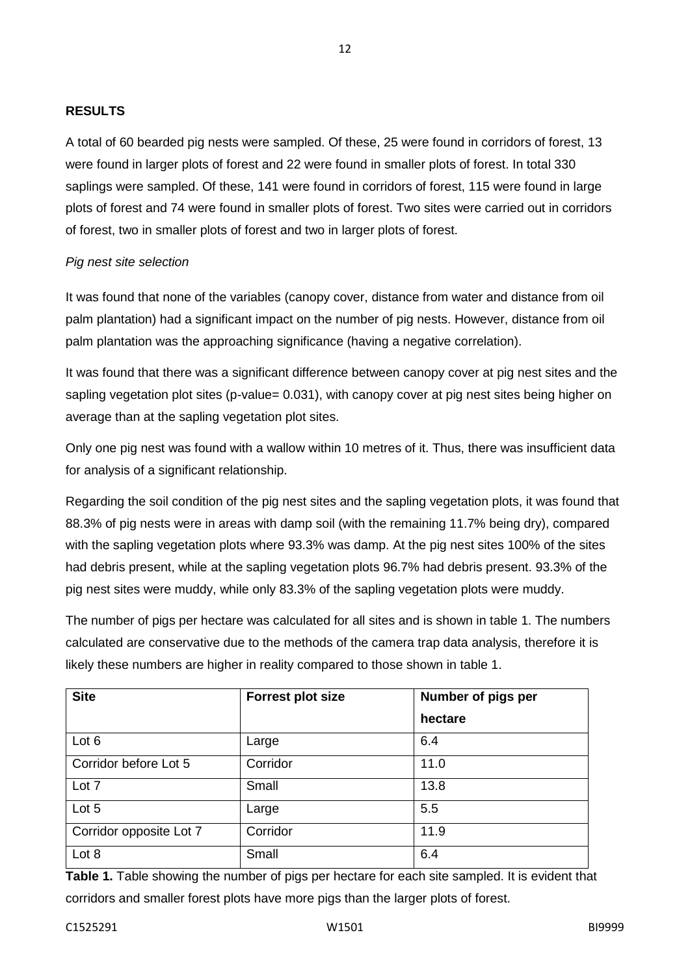#### **RESULTS**

A total of 60 bearded pig nests were sampled. Of these, 25 were found in corridors of forest, 13 were found in larger plots of forest and 22 were found in smaller plots of forest. In total 330 saplings were sampled. Of these, 141 were found in corridors of forest, 115 were found in large plots of forest and 74 were found in smaller plots of forest. Two sites were carried out in corridors of forest, two in smaller plots of forest and two in larger plots of forest.

12

## *Pig nest site selection*

It was found that none of the variables (canopy cover, distance from water and distance from oil palm plantation) had a significant impact on the number of pig nests. However, distance from oil palm plantation was the approaching significance (having a negative correlation).

It was found that there was a significant difference between canopy cover at pig nest sites and the sapling vegetation plot sites (p-value= 0.031), with canopy cover at pig nest sites being higher on average than at the sapling vegetation plot sites.

Only one pig nest was found with a wallow within 10 metres of it. Thus, there was insufficient data for analysis of a significant relationship.

Regarding the soil condition of the pig nest sites and the sapling vegetation plots, it was found that 88.3% of pig nests were in areas with damp soil (with the remaining 11.7% being dry), compared with the sapling vegetation plots where 93.3% was damp. At the pig nest sites 100% of the sites had debris present, while at the sapling vegetation plots 96.7% had debris present. 93.3% of the pig nest sites were muddy, while only 83.3% of the sapling vegetation plots were muddy.

The number of pigs per hectare was calculated for all sites and is shown in table 1. The numbers calculated are conservative due to the methods of the camera trap data analysis, therefore it is likely these numbers are higher in reality compared to those shown in table 1.

| <b>Site</b>             | <b>Forrest plot size</b> | Number of pigs per |
|-------------------------|--------------------------|--------------------|
|                         |                          | hectare            |
| Lot 6                   | Large                    | 6.4                |
| Corridor before Lot 5   | Corridor                 | 11.0               |
| Lot 7                   | Small                    | 13.8               |
| Lot 5                   | Large                    | 5.5                |
| Corridor opposite Lot 7 | Corridor                 | 11.9               |
| Lot 8                   | Small                    | 6.4                |

**Table 1.** Table showing the number of pigs per hectare for each site sampled. It is evident that corridors and smaller forest plots have more pigs than the larger plots of forest.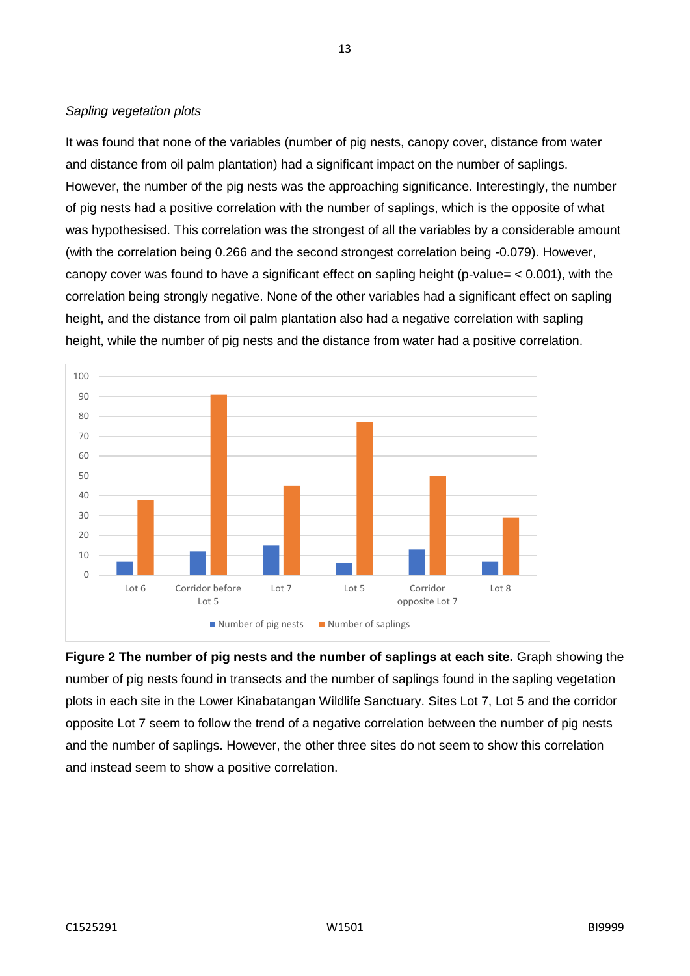## *Sapling vegetation plots*

It was found that none of the variables (number of pig nests, canopy cover, distance from water and distance from oil palm plantation) had a significant impact on the number of saplings. However, the number of the pig nests was the approaching significance. Interestingly, the number of pig nests had a positive correlation with the number of saplings, which is the opposite of what was hypothesised. This correlation was the strongest of all the variables by a considerable amount (with the correlation being 0.266 and the second strongest correlation being -0.079). However, canopy cover was found to have a significant effect on sapling height (p-value= < 0.001), with the correlation being strongly negative. None of the other variables had a significant effect on sapling height, and the distance from oil palm plantation also had a negative correlation with sapling height, while the number of pig nests and the distance from water had a positive correlation.



**Figure 2 The number of pig nests and the number of saplings at each site.** Graph showing the number of pig nests found in transects and the number of saplings found in the sapling vegetation plots in each site in the Lower Kinabatangan Wildlife Sanctuary. Sites Lot 7, Lot 5 and the corridor opposite Lot 7 seem to follow the trend of a negative correlation between the number of pig nests and the number of saplings. However, the other three sites do not seem to show this correlation and instead seem to show a positive correlation.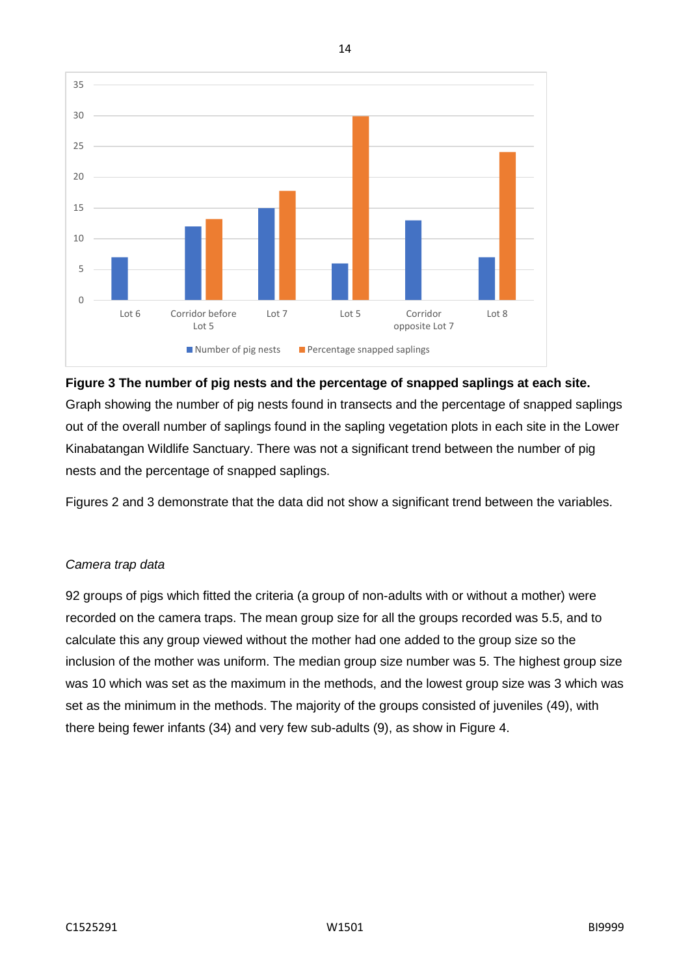

14

# **Figure 3 The number of pig nests and the percentage of snapped saplings at each site.**  Graph showing the number of pig nests found in transects and the percentage of snapped saplings out of the overall number of saplings found in the sapling vegetation plots in each site in the Lower Kinabatangan Wildlife Sanctuary. There was not a significant trend between the number of pig nests and the percentage of snapped saplings.

Figures 2 and 3 demonstrate that the data did not show a significant trend between the variables.

# *Camera trap data*

92 groups of pigs which fitted the criteria (a group of non-adults with or without a mother) were recorded on the camera traps. The mean group size for all the groups recorded was 5.5, and to calculate this any group viewed without the mother had one added to the group size so the inclusion of the mother was uniform. The median group size number was 5. The highest group size was 10 which was set as the maximum in the methods, and the lowest group size was 3 which was set as the minimum in the methods. The majority of the groups consisted of juveniles (49), with there being fewer infants (34) and very few sub-adults (9), as show in Figure 4.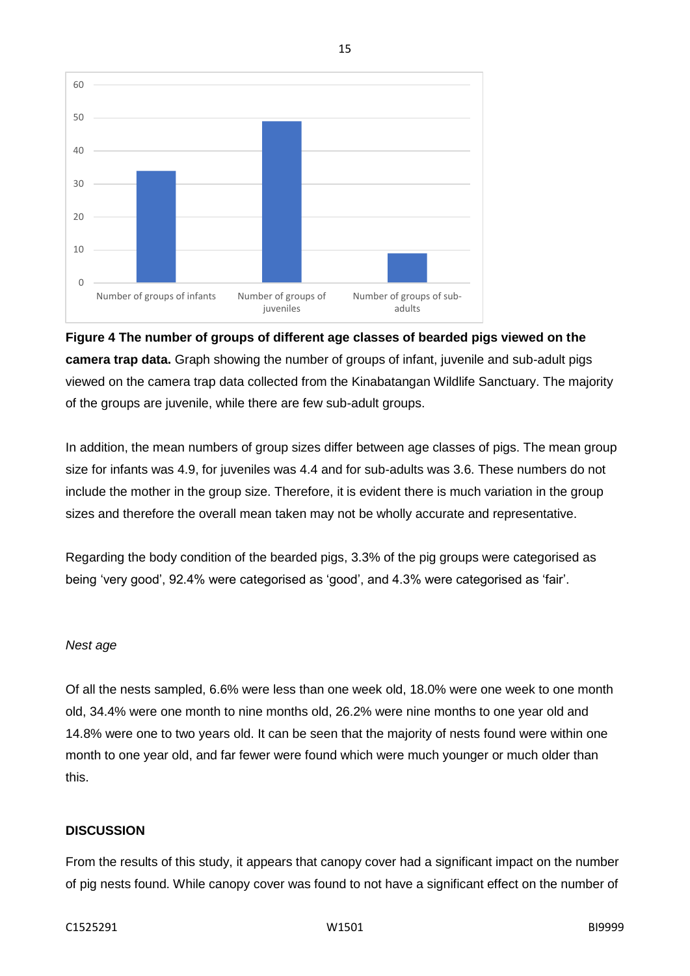

# **Figure 4 The number of groups of different age classes of bearded pigs viewed on the camera trap data.** Graph showing the number of groups of infant, juvenile and sub-adult pigs viewed on the camera trap data collected from the Kinabatangan Wildlife Sanctuary. The majority of the groups are juvenile, while there are few sub-adult groups.

15

In addition, the mean numbers of group sizes differ between age classes of pigs. The mean group size for infants was 4.9, for juveniles was 4.4 and for sub-adults was 3.6. These numbers do not include the mother in the group size. Therefore, it is evident there is much variation in the group sizes and therefore the overall mean taken may not be wholly accurate and representative.

Regarding the body condition of the bearded pigs, 3.3% of the pig groups were categorised as being 'very good', 92.4% were categorised as 'good', and 4.3% were categorised as 'fair'.

# *Nest age*

Of all the nests sampled, 6.6% were less than one week old, 18.0% were one week to one month old, 34.4% were one month to nine months old, 26.2% were nine months to one year old and 14.8% were one to two years old. It can be seen that the majority of nests found were within one month to one year old, and far fewer were found which were much younger or much older than this.

# **DISCUSSION**

From the results of this study, it appears that canopy cover had a significant impact on the number of pig nests found. While canopy cover was found to not have a significant effect on the number of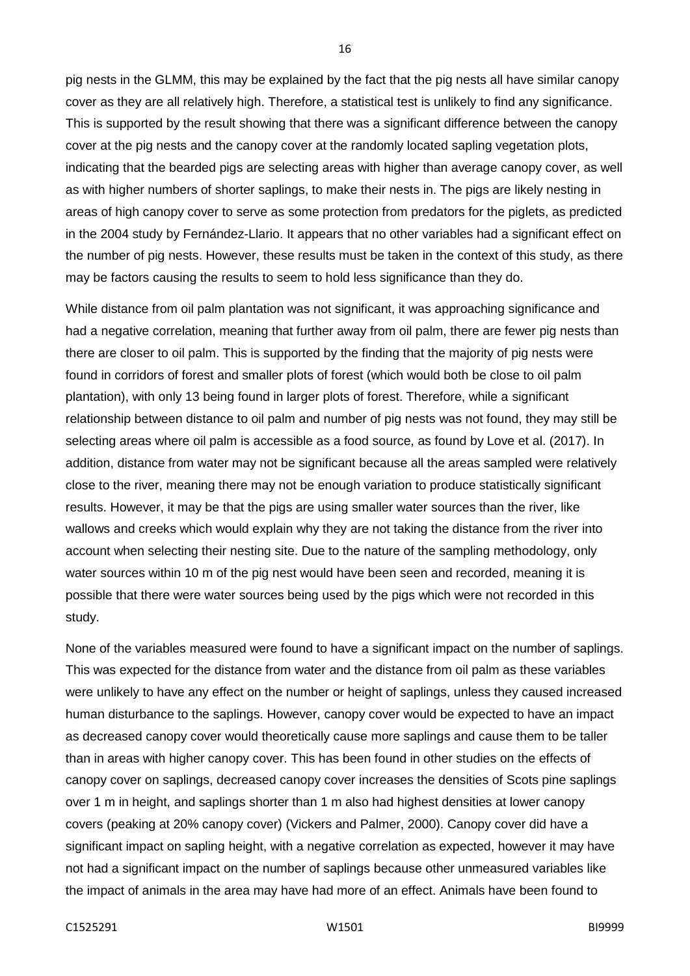pig nests in the GLMM, this may be explained by the fact that the pig nests all have similar canopy cover as they are all relatively high. Therefore, a statistical test is unlikely to find any significance. This is supported by the result showing that there was a significant difference between the canopy cover at the pig nests and the canopy cover at the randomly located sapling vegetation plots, indicating that the bearded pigs are selecting areas with higher than average canopy cover, as well as with higher numbers of shorter saplings, to make their nests in. The pigs are likely nesting in areas of high canopy cover to serve as some protection from predators for the piglets, as predicted in the 2004 study by Fernández-Llario. It appears that no other variables had a significant effect on the number of pig nests. However, these results must be taken in the context of this study, as there may be factors causing the results to seem to hold less significance than they do.

While distance from oil palm plantation was not significant, it was approaching significance and had a negative correlation, meaning that further away from oil palm, there are fewer pig nests than there are closer to oil palm. This is supported by the finding that the majority of pig nests were found in corridors of forest and smaller plots of forest (which would both be close to oil palm plantation), with only 13 being found in larger plots of forest. Therefore, while a significant relationship between distance to oil palm and number of pig nests was not found, they may still be selecting areas where oil palm is accessible as a food source, as found by Love et al. (2017). In addition, distance from water may not be significant because all the areas sampled were relatively close to the river, meaning there may not be enough variation to produce statistically significant results. However, it may be that the pigs are using smaller water sources than the river, like wallows and creeks which would explain why they are not taking the distance from the river into account when selecting their nesting site. Due to the nature of the sampling methodology, only water sources within 10 m of the pig nest would have been seen and recorded, meaning it is possible that there were water sources being used by the pigs which were not recorded in this study.

None of the variables measured were found to have a significant impact on the number of saplings. This was expected for the distance from water and the distance from oil palm as these variables were unlikely to have any effect on the number or height of saplings, unless they caused increased human disturbance to the saplings. However, canopy cover would be expected to have an impact as decreased canopy cover would theoretically cause more saplings and cause them to be taller than in areas with higher canopy cover. This has been found in other studies on the effects of canopy cover on saplings, decreased canopy cover increases the densities of Scots pine saplings over 1 m in height, and saplings shorter than 1 m also had highest densities at lower canopy covers (peaking at 20% canopy cover) (Vickers and Palmer, 2000). Canopy cover did have a significant impact on sapling height, with a negative correlation as expected, however it may have not had a significant impact on the number of saplings because other unmeasured variables like the impact of animals in the area may have had more of an effect. Animals have been found to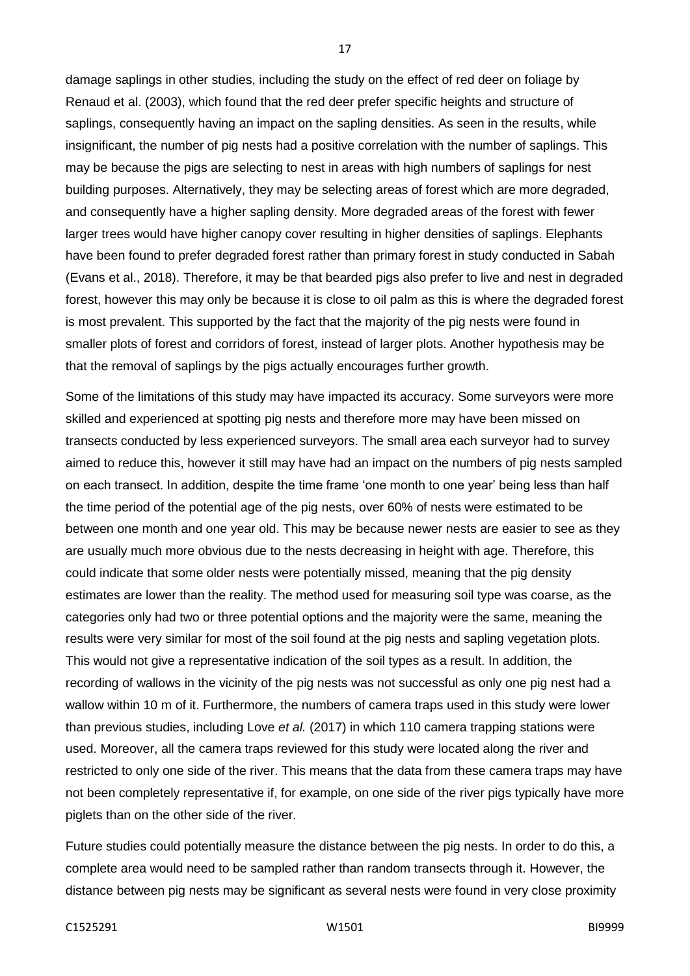damage saplings in other studies, including the study on the effect of red deer on foliage by Renaud et al. (2003), which found that the red deer prefer specific heights and structure of saplings, consequently having an impact on the sapling densities. As seen in the results, while insignificant, the number of pig nests had a positive correlation with the number of saplings. This may be because the pigs are selecting to nest in areas with high numbers of saplings for nest building purposes. Alternatively, they may be selecting areas of forest which are more degraded, and consequently have a higher sapling density. More degraded areas of the forest with fewer larger trees would have higher canopy cover resulting in higher densities of saplings. Elephants have been found to prefer degraded forest rather than primary forest in study conducted in Sabah (Evans et al., 2018). Therefore, it may be that bearded pigs also prefer to live and nest in degraded forest, however this may only be because it is close to oil palm as this is where the degraded forest is most prevalent. This supported by the fact that the majority of the pig nests were found in smaller plots of forest and corridors of forest, instead of larger plots. Another hypothesis may be that the removal of saplings by the pigs actually encourages further growth.

17

Some of the limitations of this study may have impacted its accuracy. Some surveyors were more skilled and experienced at spotting pig nests and therefore more may have been missed on transects conducted by less experienced surveyors. The small area each surveyor had to survey aimed to reduce this, however it still may have had an impact on the numbers of pig nests sampled on each transect. In addition, despite the time frame 'one month to one year' being less than half the time period of the potential age of the pig nests, over 60% of nests were estimated to be between one month and one year old. This may be because newer nests are easier to see as they are usually much more obvious due to the nests decreasing in height with age. Therefore, this could indicate that some older nests were potentially missed, meaning that the pig density estimates are lower than the reality. The method used for measuring soil type was coarse, as the categories only had two or three potential options and the majority were the same, meaning the results were very similar for most of the soil found at the pig nests and sapling vegetation plots. This would not give a representative indication of the soil types as a result. In addition, the recording of wallows in the vicinity of the pig nests was not successful as only one pig nest had a wallow within 10 m of it. Furthermore, the numbers of camera traps used in this study were lower than previous studies, including Love *et al.* (2017) in which 110 camera trapping stations were used. Moreover, all the camera traps reviewed for this study were located along the river and restricted to only one side of the river. This means that the data from these camera traps may have not been completely representative if, for example, on one side of the river pigs typically have more piglets than on the other side of the river.

Future studies could potentially measure the distance between the pig nests. In order to do this, a complete area would need to be sampled rather than random transects through it. However, the distance between pig nests may be significant as several nests were found in very close proximity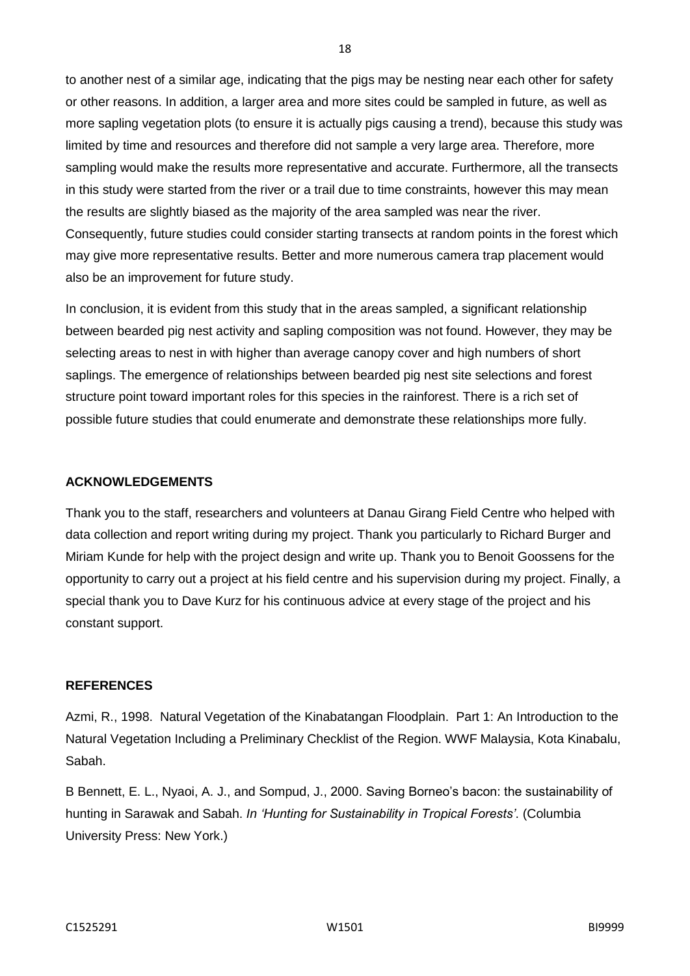to another nest of a similar age, indicating that the pigs may be nesting near each other for safety or other reasons. In addition, a larger area and more sites could be sampled in future, as well as more sapling vegetation plots (to ensure it is actually pigs causing a trend), because this study was limited by time and resources and therefore did not sample a very large area. Therefore, more sampling would make the results more representative and accurate. Furthermore, all the transects in this study were started from the river or a trail due to time constraints, however this may mean the results are slightly biased as the majority of the area sampled was near the river. Consequently, future studies could consider starting transects at random points in the forest which may give more representative results. Better and more numerous camera trap placement would also be an improvement for future study.

In conclusion, it is evident from this study that in the areas sampled, a significant relationship between bearded pig nest activity and sapling composition was not found. However, they may be selecting areas to nest in with higher than average canopy cover and high numbers of short saplings. The emergence of relationships between bearded pig nest site selections and forest structure point toward important roles for this species in the rainforest. There is a rich set of possible future studies that could enumerate and demonstrate these relationships more fully.

#### **ACKNOWLEDGEMENTS**

Thank you to the staff, researchers and volunteers at Danau Girang Field Centre who helped with data collection and report writing during my project. Thank you particularly to Richard Burger and Miriam Kunde for help with the project design and write up. Thank you to Benoit Goossens for the opportunity to carry out a project at his field centre and his supervision during my project. Finally, a special thank you to Dave Kurz for his continuous advice at every stage of the project and his constant support.

#### **REFERENCES**

Azmi, R., 1998. Natural Vegetation of the Kinabatangan Floodplain. Part 1: An Introduction to the Natural Vegetation Including a Preliminary Checklist of the Region. WWF Malaysia, Kota Kinabalu, Sabah.

B Bennett, E. L., Nyaoi, A. J., and Sompud, J., 2000. Saving Borneo's bacon: the sustainability of hunting in Sarawak and Sabah. *In 'Hunting for Sustainability in Tropical Forests'*. (Columbia University Press: New York.)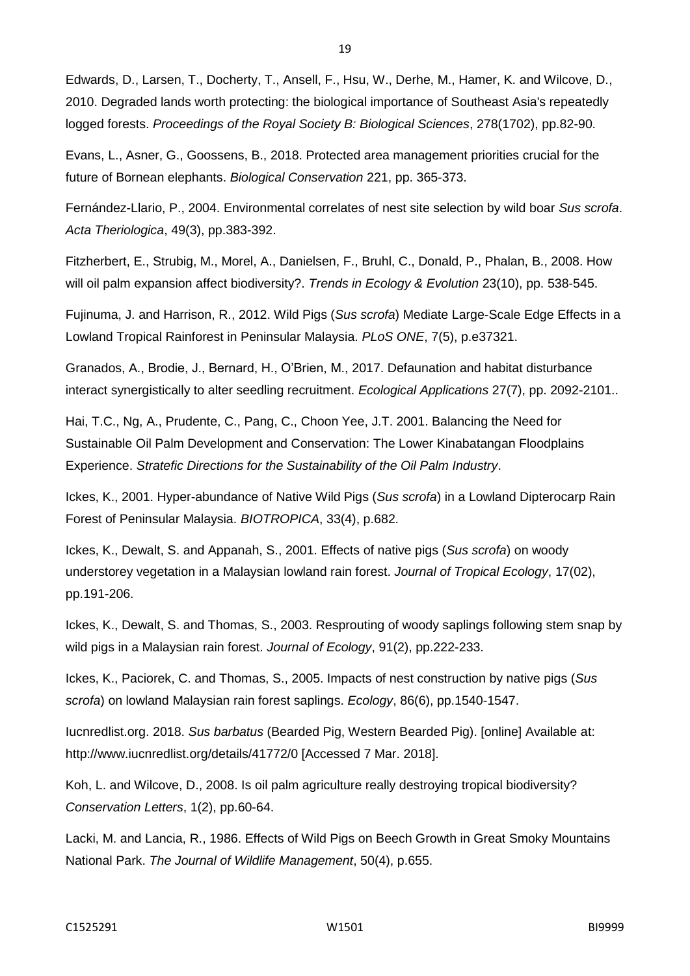Edwards, D., Larsen, T., Docherty, T., Ansell, F., Hsu, W., Derhe, M., Hamer, K. and Wilcove, D., 2010. Degraded lands worth protecting: the biological importance of Southeast Asia's repeatedly logged forests. *Proceedings of the Royal Society B: Biological Sciences*, 278(1702), pp.82-90.

Evans, L., Asner, G., Goossens, B., 2018. Protected area management priorities crucial for the future of Bornean elephants. *Biological Conservation* 221, pp. 365-373.

Fernández-Llario, P., 2004. Environmental correlates of nest site selection by wild boar *Sus scrofa*. *Acta Theriologica*, 49(3), pp.383-392.

Fitzherbert, E., Strubig, M., Morel, A., Danielsen, F., Bruhl, C., Donald, P., Phalan, B., 2008. How will oil palm expansion affect biodiversity?. *Trends in Ecology & Evolution* 23(10), pp. 538-545.

Fujinuma, J. and Harrison, R., 2012. Wild Pigs (*Sus scrofa*) Mediate Large-Scale Edge Effects in a Lowland Tropical Rainforest in Peninsular Malaysia. *PLoS ONE*, 7(5), p.e37321.

Granados, A., Brodie, J., Bernard, H., O'Brien, M., 2017. Defaunation and habitat disturbance interact synergistically to alter seedling recruitment. *Ecological Applications* 27(7), pp. 2092-2101..

Hai, T.C., Ng, A., Prudente, C., Pang, C., Choon Yee, J.T. 2001. Balancing the Need for Sustainable Oil Palm Development and Conservation: The Lower Kinabatangan Floodplains Experience. *Stratefic Directions for the Sustainability of the Oil Palm Industry*.

Ickes, K., 2001. Hyper-abundance of Native Wild Pigs (*Sus scrofa*) in a Lowland Dipterocarp Rain Forest of Peninsular Malaysia. *BIOTROPICA*, 33(4), p.682.

Ickes, K., Dewalt, S. and Appanah, S., 2001. Effects of native pigs (*Sus scrofa*) on woody understorey vegetation in a Malaysian lowland rain forest. *Journal of Tropical Ecology*, 17(02), pp.191-206.

Ickes, K., Dewalt, S. and Thomas, S., 2003. Resprouting of woody saplings following stem snap by wild pigs in a Malaysian rain forest. *Journal of Ecology*, 91(2), pp.222-233.

Ickes, K., Paciorek, C. and Thomas, S., 2005. Impacts of nest construction by native pigs (*Sus scrofa*) on lowland Malaysian rain forest saplings. *Ecology*, 86(6), pp.1540-1547.

Iucnredlist.org. 2018. *Sus barbatus* (Bearded Pig, Western Bearded Pig). [online] Available at: http://www.iucnredlist.org/details/41772/0 [Accessed 7 Mar. 2018].

Koh, L. and Wilcove, D., 2008. Is oil palm agriculture really destroying tropical biodiversity? *Conservation Letters*, 1(2), pp.60-64.

Lacki, M. and Lancia, R., 1986. Effects of Wild Pigs on Beech Growth in Great Smoky Mountains National Park. *The Journal of Wildlife Management*, 50(4), p.655.